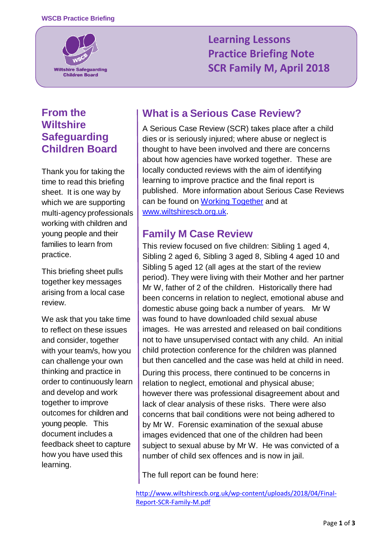

# **Rearning Lessons Practice Briefing Note SCR Family M, April 2018**

### **From the Wiltshire Safeguarding Children Board**

Thank you for taking the time to read this briefing sheet. It is one way by which we are supporting multi-agency professionals working with children and young people and their families to learn from practice.

This briefing sheet pulls together key messages arising from a local case review.

We ask that you take time to reflect on these issues and consider, together with your team/s, how you can challenge your own thinking and practice in order to continuously learn and develop and work together to improve outcomes for children and young people. This document includes a feedback sheet to capture how you have used this learning.

### **What is a Serious Case Review?**

A Serious Case Review (SCR) takes place after a child dies or is seriously injured; where abuse or neglect is thought to have been involved and there are concerns about how agencies have worked together. These are locally conducted reviews with the aim of identifying learning to improve practice and the final report is published. More information about Serious Case Reviews can be found on [Working Together](https://assets.publishing.service.gov.uk/government/uploads/system/uploads/attachment_data/file/592101/Working_Together_to_Safeguard_Children_20170213.pdf) and at [www.wiltshirescb.org.uk.](http://www.wiltshirescb.org.uk/)

#### **Family M Case Review**

This review focused on five children: Sibling 1 aged 4, Sibling 2 aged 6, Sibling 3 aged 8, Sibling 4 aged 10 and Sibling 5 aged 12 (all ages at the start of the review period). They were living with their Mother and her partner Mr W, father of 2 of the children. Historically there had been concerns in relation to neglect, emotional abuse and domestic abuse going back a number of years. Mr W was found to have downloaded child sexual abuse images. He was arrested and released on bail conditions not to have unsupervised contact with any child. An initial child protection conference for the children was planned but then cancelled and the case was held at child in need. During this process, there continued to be concerns in

relation to neglect, emotional and physical abuse; however there was professional disagreement about and lack of clear analysis of these risks. There were also concerns that bail conditions were not being adhered to by Mr W. Forensic examination of the sexual abuse images evidenced that one of the children had been subject to sexual abuse by Mr W. He was convicted of a number of child sex offences and is now in jail.

The full report can be found here:

[http://www.wiltshirescb.org.uk/wp-content/uploads/2018/04/Final-](http://www.wiltshirescb.org.uk/wp-content/uploads/2018/04/Final-Report-SCR-Family-M.pdf)[Report-SCR-Family-M.pdf](http://www.wiltshirescb.org.uk/wp-content/uploads/2018/04/Final-Report-SCR-Family-M.pdf)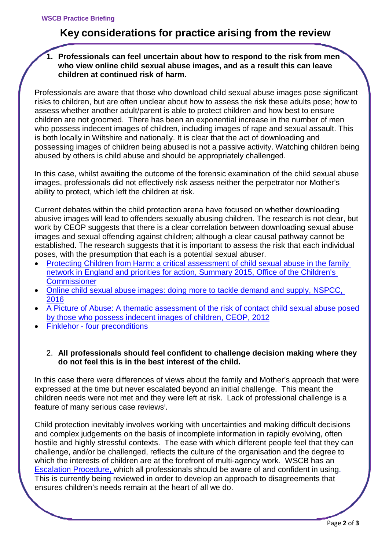## **Key considerations for practice arising from the review**

**1. Professionals can feel uncertain about how to respond to the risk from men who view online child sexual abuse images, and as a result this can leave children at continued risk of harm.**

Professionals are aware that those who download child sexual abuse images pose significant risks to children, but are often unclear about how to assess the risk these adults pose; how to assess whether another adult/parent is able to protect children and how best to ensure children are not groomed. There has been an exponential increase in the number of men who possess indecent images of children, including images of rape and sexual assault. This is both locally in Wiltshire and nationally. It is clear that the act of downloading and possessing images of children being abused is not a passive activity. Watching children being abused by others is child abuse and should be appropriately challenged.

In this case, whilst awaiting the outcome of the forensic examination of the child sexual abuse images, professionals did not effectively risk assess neither the perpetrator nor Mother's ability to protect, which left the children at risk.

Current debates within the child protection arena have focused on whether downloading abusive images will lead to offenders sexually abusing children. The research is not clear, but work by CEOP suggests that there is a clear correlation between downloading sexual abuse images and sexual offending against children; although a clear causal pathway cannot be established. The research suggests that it is important to assess the risk that each individual poses, with the presumption that each is a potential sexual abuser.

- [Protecting Children from Harm: a critical assessment of child sexual abuse in the family](https://www.childrenscommissioner.gov.uk/wp-content/uploads/2017/06/Protecting-children-from-harm-executive-summary_0.pdf)  network in England [and priorities for action, Summary 2015, Office of the Children's](https://www.childrenscommissioner.gov.uk/wp-content/uploads/2017/06/Protecting-children-from-harm-executive-summary_0.pdf)  **[Commissioner](https://www.childrenscommissioner.gov.uk/wp-content/uploads/2017/06/Protecting-children-from-harm-executive-summary_0.pdf)**
- [Online child sexual abuse images: doing more to tackle demand and supply, NSPCC,](https://www.nspcc.org.uk/globalassets/documents/research-reports/online-child-sexual-abuse-images.pdf)  [2016](https://www.nspcc.org.uk/globalassets/documents/research-reports/online-child-sexual-abuse-images.pdf)
- [A Picture of Abuse: A thematic assessment of the risk of contact child sexual abuse posed](https://static.lgfl.net/LgflNet/downloads/online-safety/LGfL-OS-Research-Archive-2012-CEOP-Picture-of-Abuse.pdf)  [by those who possess indecent images of children, CEOP,](https://static.lgfl.net/LgflNet/downloads/online-safety/LGfL-OS-Research-Archive-2012-CEOP-Picture-of-Abuse.pdf) 2012
- **Finklehor four preconditions**

#### 2. **All professionals should feel confident to challenge decision making where they do not feel this is in the best interest of the child.**

In this case there were differences of views about the family and Mother's approach that were expressed at the time but never escalated beyond an initial challenge. This meant the children needs were not met and they were left at risk. Lack of professional challenge is a feature of many ser[i](#page-2-0)ous case reviews<sup>i</sup>.

Child protection inevitably involves working with uncertainties and making difficult decisions and complex judgements on the basis of incomplete information in rapidly evolving, often hostile and highly stressful contexts. The ease with which different people feel that they can challenge, and/or be challenged, reflects the culture of the organisation and the degree to which the interests of children are at the forefront of multi-agency work. WSCB has an [Escalation Procedure,](http://wiltshirescb.org.uk/wp-content/uploads/2016/10/WSCB_Escalation_Policy.pdf) which all professionals should be aware of and confident in using. This is currently being reviewed in order to develop an approach to disagreements that ensures children's needs remain at the heart of all we do.